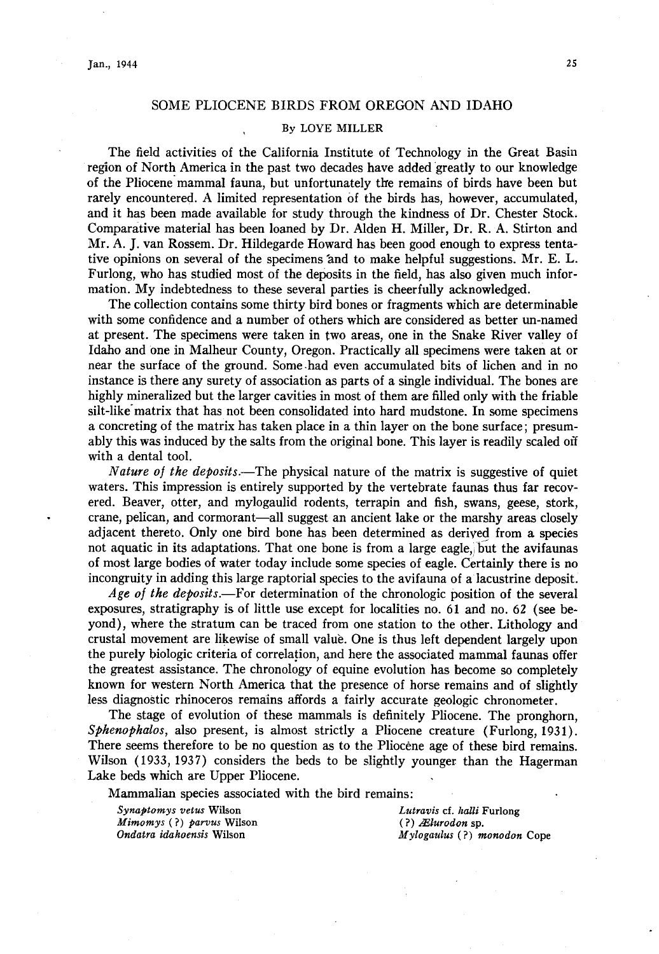# **SOME PLIOCENE BIRDS FROM OREGON AND IDAHO**

## **By LOYE MILLER**

**The field activities of the California Institute of Technology in the Great Basin region of North America in the past two decades have added 'greatly to our knowledge**  of the Pliocene mammal fauna, but unfortunately the remains of birds have been but **rarely encountered. A limited representation of the birds has, however, accumulated, and it has been made available for study through the kindness of Dr. Chester Stock. Comparative material has been loaned by Dr. Alden H. Miller, Dr. R. A. Stirton and Mr. A. J. van Rossem. Dr. Hildegarde Howard has been good enough to express tentative opinions on several of the specimens 'and to make helpful suggestions. Mr. E. L. Furlong, who has studied most of the deposits in the field, has also given much information. My indebtedness to these several parties is cheerfully acknowledged.** 

**The collection contains some thirty bird bones or fragments which are determinable with some confidence and a number of others which are considered as better un-named at present. The specimens were taken in two areas, one in the Snake River valley of Idaho and one in Malheur County, Oregon. Practically all specimens were taken at or near the surface of the ground. Some.had even accumulated bits of lichen and in no instance is there any surety of association as parts of a single individual. The bones are highly mineralized but the larger cavities in most of them are filled only with the friable silt-like-matrix that has not been consolidated into hard mudstone. In some specimens a concreting of the matrix has taken place in a thin layer on the bone surface; presumably this was induced by the salts from the original bone. This layer is readily scaled oif with a dental tool.** 

Nature of the deposits.—The physical nature of the matrix is suggestive of quiet **waters. This impression is entirely supported by the vertebrate faunas thus far recovered. Beaver, otter, and mylogaulid rodents, terrapin and fish, swans, geese, stork, . crane, pelican, and cormorant-all suggest an ancient lake or the marshy areas closely adjacent thereto. Only one bird bone has been determined as derived from a species**  not aquatic in its adaptations. That one bone is from a large eagle, but the avifaunas **of most large bodies of water today include some species of eagle. Certainly there is no incongruity in adding this large raptorial species to the avifauna of a lacustrine deposit.** 

Age of the deposits.—For determination of the chronologic position of the several **exposures, stratigraphy is of little use except for localities no. 61 and no. 62 (see beyond), where the stratum can be traced from one station to the other. Lithology and crustal movement are likewise of small value. One is thus left dependent largely upon the purely biologic criteria of correlafion, and here the associated mammal faunas offer the greatest assistance. The chronology of equine evolution has become so completely known for western North America that the presence of horse remains and of slightly less diagnostic rhinoceros remains affords a fairly accurate geologic chronometer.** 

**The stage of evolution of these mammals is definitely Pliocene. The pronghorn, Sphenophalos, also present, is almost strictly a Pliocene creature (Furlong, 1931). There seems therefore to be no question as to the Pliocene age of these bird remains. Wilson (1933, 1937) considers the beds to be slightly younger than the Hagerman Lake beds which are Upper Pliocene.** 

**Mammalian species associated with the bird remains:** 

**Synaptomys vetus Wilson Mimomys ( ?) parvus Wilson Ondatra idahoensis Wilson** 

**Lutravis cf. halli Furlong ( ?) Ahrodon sp. Mylogaulus ( ?) monodon Cope**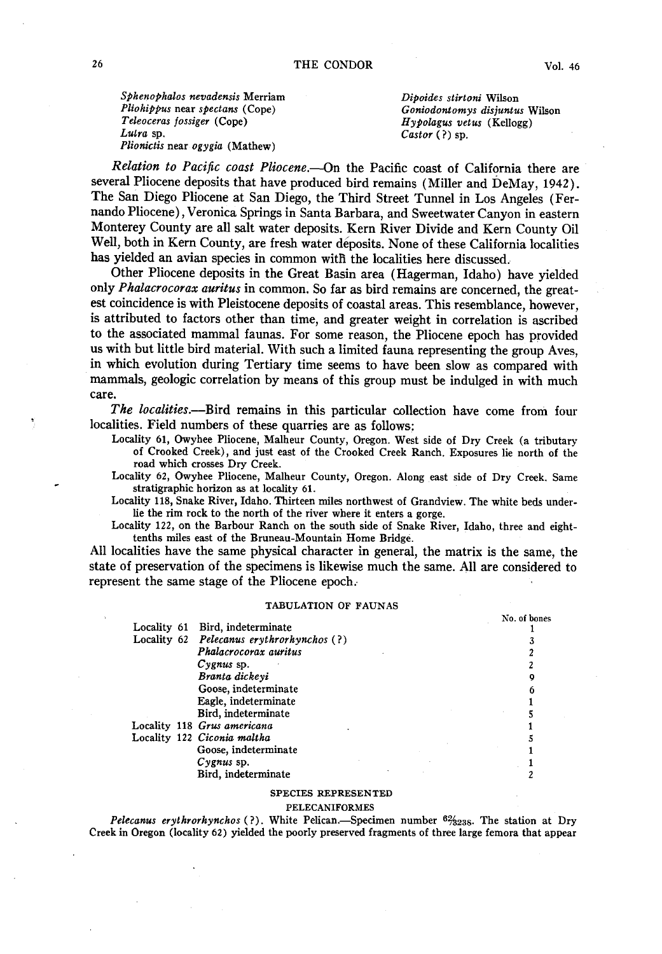**Dipoides stirtoni Wilson**  Goniodontomys disjuntus Wilson **Hypolagus vetus (Kellogg)**  Castor (?) sp.

**No. of bones** 

**Relation to Pacific coast Pliocene.--On the Pacific coast of California there are several Pliocene deposits that have produced bird remains (Miller and DeMay, 1942). The San Diego Pliocene at San Diego, the Third Street Tunnel in Los Angeles (Fernando Pliocene), Veronica Springs in Santa Barbara, and Sweetwater Canyon in eastern Monterey County are all salt water deposits. Kern River Divide and Kern County Oil Well, both in Kern County, are fresh water deposits. None of these California localities has yielded an avian species in common with the localities here discussed.** 

**Other Pliocene deposits in the Great Basin area (Hagerman, Idaho) have yielded only Phalacrocorax auritus in common. So far as bird remains are concerned, the greatest coincidence is with Pleistocene deposits of coastal areas. This resemblance, however, is attributed to factors other than time, and greater weight in correlation is ascribed to the associated mammal faunas. For some reason, the Pliocene epoch has provided us with but little bird material. With such a limited fauna representing the group Aves, in which evolution during Tertiary time seems to have been slow as compared with mammals, geologic correlation by means of this group must be indulged in with much care.** 

**The localities.-Bird remains in this particular collection have come from four localities. Field numbers of these quarries are as follows:** 

**Locality 61, Owyhee Pliocene, Malheur County, Oregon. West side of Dry Creek (a tributary of Crooked Creek), and just east of the Crooked Creek Ranch. Exposures lie north of the road which crosses Dry Creek.** 

**Locality 62, Owyhee Pliocene, Malheur County, Oregon. Along east side of Dry Creek. Same \_ stratigraphic horizon as at locality 61.** 

**Locality 118, Snake River, Idaho. Thirteen miles northwest of Grandview. The white beds underlie the rim rock to the north of the river where it enters a gorge.** 

**Locality 122, on the Barbour Ranch on the south side of Snake River, Idaho, three and eighttenths miles east of the Bruneau-Mountain Home Bridge.** 

**All localities have the same physical character in general, the matrix is the same, the state of preservation of the specimens is likewise much the same. All are considered to represent the same stage of the Pliocene epoch;** 

### **TABULATION OF FAUNAS**

|             |                                           | ало, от вошех |
|-------------|-------------------------------------------|---------------|
| Locality 61 | Bird, indeterminate                       |               |
|             | Locality 62 Pelecanus erythrorhynchos (?) |               |
|             | Phalacrocorax auritus                     |               |
|             | $Cygnus$ sp.                              |               |
|             | Branta dickeyi                            |               |
|             | Goose, indeterminate                      |               |
|             | Eagle, indeterminate                      |               |
|             | Bird, indeterminate                       |               |
|             | Locality 118 Grus americana               |               |
|             | Locality 122 Ciconia maltha               |               |
|             | Goose, indeterminate                      |               |
|             | Cygnus sp.                                |               |
|             | Bird, indeterminate                       |               |

#### **SPECIES REPRESENTED**

#### **PELECANIFORMES**

Pelecanus erythrorkynchos (?). White Pelican.—Specimen number <sup>62</sup><sup>5</sup>\$238</sub>. The station at Dry **Creek in Oregon (locality 62) yielded the poorly preserved fragments of three large femora that appear**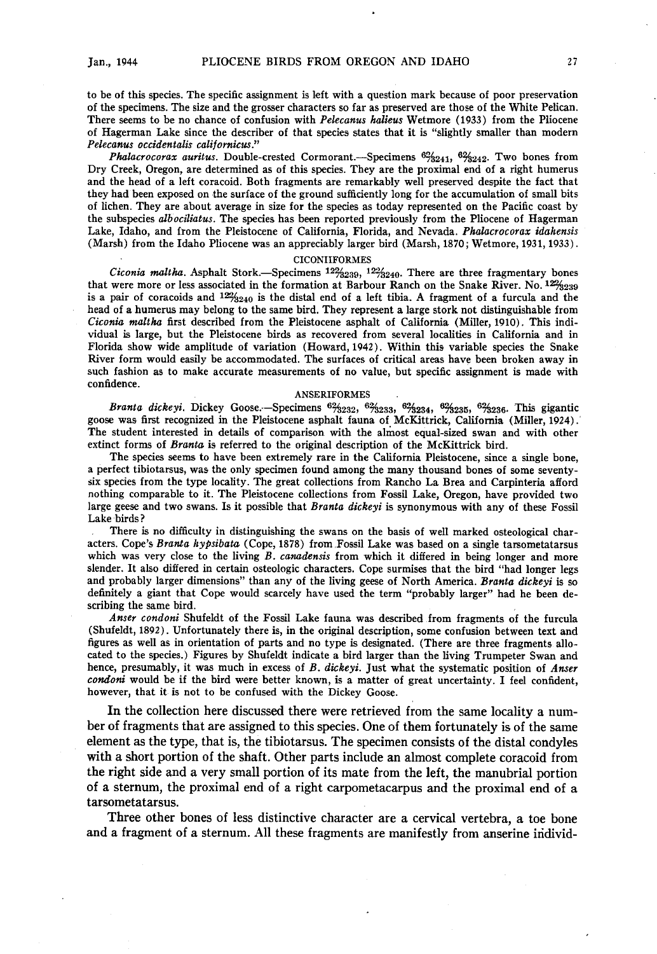**to be of this species. The specific assignment is left with a question mark because of poor preservation of the specimens. The size and the grosser characters so far as preserved are those of the White Pelican. There seems to be no chance of confusion with Pelecanus halieus Wetmore (1933) from the Pliocene of Hagerman Lake since the describer of that species states that it is "slightly smaller than modern Pelecanus occidentalis californicus."** 

Phalacrocorax auritus. Double-crested Cormorant.-Specimens  $6\frac{2}{3}241, 6\frac{2}{3}242$ . Two bones from **Dry Creek, Oregon, are determined as of this species. They are the proximal end of a right humerus and the head of a left coracoid. Both fragments are remarkably well preserved despite the fact that they had been exposed on the surface of the ground sufficiently long for the accumulation of small bits of lichen. They are about average in size for the species as today represented on the Pacific coast by the subspecies albociliutus. The species has been reported previously from the Pliocene of Hagerman Lake, Idaho, and from the Pleistocene of California, Florida, and Nevada. Phalacrocorax idahensis (Marsh) from the Idaho Pliocene was an appreciably larger bird (Marsh, 1870; Wetmore, 1931,1933).** 

#### **CICONIIFORMES**

Ciconia maltha. Asphalt Stork.-Specimens <sup>122</sup>/<sub>3239</sub>, <sup>122</sup>/<sub>3240</sub>. There are three fragmentary bones that were more or less associated in the formation at Barbour Ranch on the Snake River. No.  $12\frac{22}{3239}$ is a pair of coracoids and  $12\frac{2}{3240}$  is the distal end of a left tibia. A fragment of a furcula and the **head of a humerus may belong to the same bird. They represent a large stork not distinguishable from Ciconia multha first described from the Pleistocene asphalt of California (Miller, 1910). This individual is large, but the Pleistocene birds as recovered from several localities in California and in Florida show wide amplitude of variation (Howard, 1942). Within this variable species the Snake River form would easily be accommodated. The surfaces of critical areas have been broken away in such fashion as to make accurate measurements of no value, but specific assignment is made with confidence.** 

#### **ANSERIFORMES**

**&Unta dickeyi. Dickey Goose.-Specimens 62/5232, @%233, ?1\$234, ' B2/S235, 6?&3t3. This gigantic goose was first recognized in the Pleistocene asphalt fauna of McKittrick, California (Miller, 1924). The student interested in details of comparison with the almost equal-sized swan and with other**  extinct forms of *Branta* is referred to the original description of the McKittrick bird.

**The species seems to have been extremely rare in the California Pleistocene, since a single bone, a perfect tibiotarsus, was the only specimen found among the many thousand bones of some seventysix species from the type locality. The great collections from Ranch0 La Brea and Carpinteria afford nothing comparable to it. The Pleistocene collections from Fossil Lake, Oregon, have provided two large geese and two swans. Is it possible that Branta dickeyi is synonymous with any of these Fossil Lake birds?** 

**There is no difficulty in distinguishing the swans on the basis of well marked osteological char**acters. Cope's Branta hypsibata (Cope, 1878) from Fossil Lake was based on a single tarsometatarsus **which was very close to the living B. cmadensis from which it differed in being longer and more slender. It also differed in certain osteologic characters. Cope surmises that the bird "had longer legs and probably larger dimensions" than any of the living geese of North America. Branta dickeyi is so definitely a giant that Cope would scarcely have used the term "probably larger" had he been describing the same bird.** 

**Anser condoni Shufeldt of the Fossil Lake fauna was described from fragments of the furcula (Shufeldt, 1892). Unfortunately there is, in the original description, some confusion between text and figures as well as in orientation of parts and no type is designated. (There are three fragments allocated to the species.) Figures by Shufeldt indicate a bird larger than the living Trumpeter Swan and hence, presumably, it was much in excess of B. dickeyi. Just what the systematic position of Anser condoni would be if the bird were better known, is a matter of great uncertainty. I feel confident, however, that it is not to be confused with the Dickey Goose.** 

**In the collection here discussed there were retrieved from the same locality a number of fragments that are assigned to this species. One of them fortunately is of the same element as the type, that is, the tibiotarsus. The specimen consists of the distal condyles with a short portion of the shaft. Other parts include an almost complete coracoid from the right side and a very small portion of its mate from the left, the manubrial portion of a sternum, the proximal end of a right carpometacarpus and the proximal end of a tarsometatarsus.** 

**Three other bones of less distinctive character are a cervical vertebra, a toe bone and a fragment of a sternum. All these fragments are manifestly from anserine iridivid-**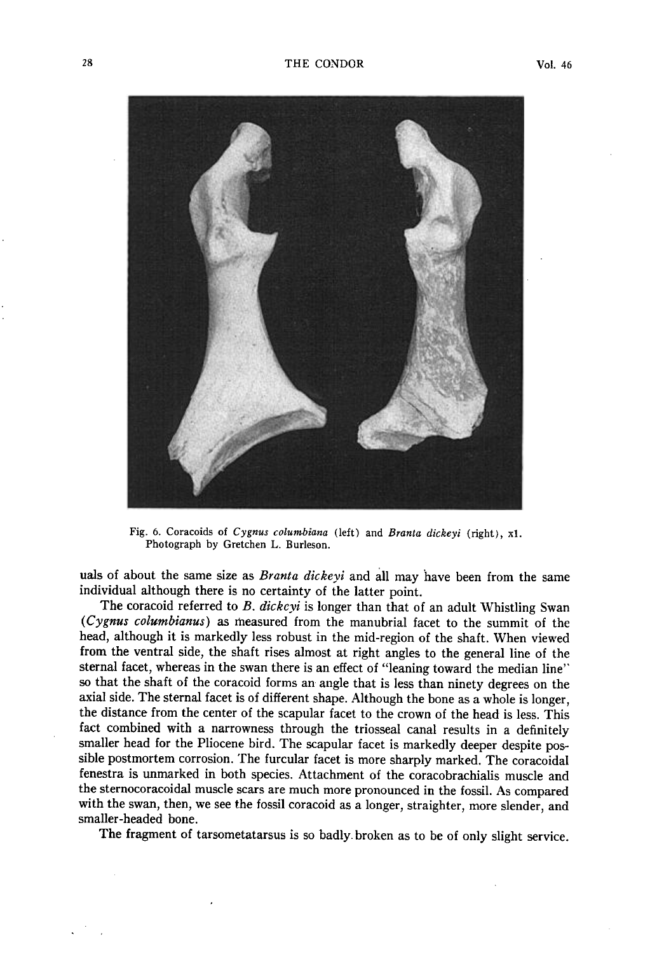

Fig. 6. Coracoids of Cygnus columbiana (left) and Branta dickeyi (right), x1. **Photograph by Gretchen L. Burleson.** 

**uals of about the same size as Branta dickeyi and all may have been from the same individual although there is no certainty of the latter point.** 

**The coracoid referred to B. dickcyi is longer than that of an adult Whistling Swan**  (Cygnus columbianus) as measured from the manubrial facet to the summit of the **head, although it is markedly less robust in the mid-region of the shaft. When viewed from the ventral side, the shaft rises almost at right angles to the general line of the sternal facet, whereas in the swan there is an effect of "leaning toward the median line" so that the shaft of the coracoid forms an angle that is less than ninety degrees on the axial side. The sternal facet is of different shape. Although the bone as a whole is longer, the distance from the center of the scapular facet to the crown of the head is less. This fact combined with a narrowness through the triosseal canal results in a definitely smaller head for the Pliocene bird. The scapular facet is markedly deeper despite passible postmortem corrosion. The furcular facet is more sharply marked. The coracoidal fenestra is unmarked in both species. Attachment of the coracobrachialis muscle and the sternocoracoidal muscle scars are much more pronounced in the fossil. As compared**  with the swan, then, we see the fossil coracoid as a longer, straighter, more slender, and **smaller-headed bone.** 

**The fragment of tarsometatarsus is so badly. broken as to be of only slight service.**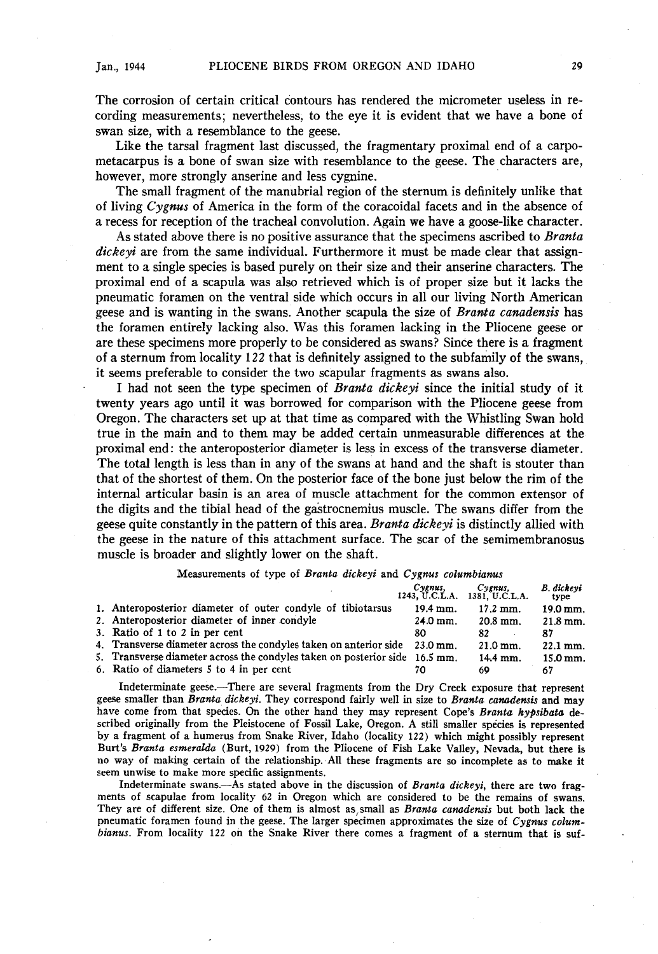**The corrosion of certain critical contours has rendered the micrometer useless in recording measurements; nevertheless, to the eye it is evident that we have a bone of** 

**Like the tarsal fragment last discussed, the fragmentary proximal end of a carpometacarpus is a bone of swan size with resemblance to the geese. The characters are, however, more strongly anserine and less cygnine.** 

**The small fragment of the manubrial region of the sternum is definitely unlike that of living Cygnus of America in the form of the coracoidal facets and in the absence of a recess for reception of the tracheal convolution. Again we have a goose-like character.** 

**As stated above there is no positive assurance that the specimens ascribed to Branta**  dickeyi are from the same individual. Furthermore it must be made clear that assign**ment to a single species is based purely on their size and their anserine characters. The proximal end of a scapula was also retrieved which is of proper size but it lacks the pneumatic foramen on the ventral side which occurs in all our living North American**  geese and is wanting in the swans. Another scapula the size of *Bramta canadensis* has **the foramen entirely lacking also. Was this foramen lacking in the Pliocene geese or are these specimens more properly to be considered as swans? Since there is a fragment of a sternum from locality 122 that is definitely assigned to the subfamily of the swans, it seems preferable to consider the two scapular fragments as swans also.** 

**I had not seen the type specimen of Branta dickeyi since the initial study of it twenty years ago until it was borrowed for comparison with the Pliocene geese from Oregon. The characters set up at that time as compared with the Whistling Swan hold true in the main and to them may be added certain unmeasurable differences at the proximal end: the anteroposterior diameter is less in excess of the transverse diameter. The total length is less than in any of the swans at hand and the shaft is stouter than that of the shortest of them. On the posterior face of the bone just below the rim of the internal articular basin is an area of muscle attachment for the common extensor of the digits and the tibia1 head of the gastrocnemius muscle. The swans differ from the geese quite constantly in the pattern of this area. Bratia dickeyi is distinctly allied with the geese in the nature of this attachment surface. The scar of the semimembranosus muscle is broader and slightly lower on the shaft.** 

Measurements of type of Branta dickeyi and Cygnus columbianus

|                                                                             |                        | Cygnus, Cygnus, 1243, U.C.L.A. 1381, U.C.L.A. | B. dickevi<br>type     |
|-----------------------------------------------------------------------------|------------------------|-----------------------------------------------|------------------------|
| 1. Anteroposterior diameter of outer condyle of tibiotarsus                 | $19.4$ mm.             | $17.2$ mm.                                    | 19.0 mm.               |
| 2. Anteroposterior diameter of inner condyle                                | $24.0$ mm.             | 20.8 mm.                                      | $21.8$ mm.             |
| 3. Ratio of 1 to 2 in per cent                                              | 80                     | 82                                            | 87                     |
| 4. Transverse diameter across the condyles taken on anterior side           | $23.0 \,\mathrm{mm}$ . | $21.0 \text{ mm}$ .                           | $22.1$ mm.             |
| 5. Transverse diameter across the condyles taken on posterior side 16.5 mm. |                        | 14.4 mm.                                      | $15.0 \,\mathrm{mm}$ . |
| 6. Ratio of diameters 5 to 4 in per cent                                    | 70                     | 69                                            | 67                     |

**Indeterminate geese.-There are several fragments from the Dry Creek exposure that represent**  geese smaller than *Branta dickeyi*. They correspond fairly well in size to *Branta canadensis* and may have come from that species. On the other hand they may represent Cope's Branta hypsibata de**scribed originally from the Pleistocene of Fossil Lake, Oregon. A still smaller species is represented by a fragment of a humerus from Snake River, Idaho (locality 122) which might possibly represent Burt's Branta esmeralda (Burt, 1929) from the Pliocene of Fish Lake Valley, Nevada, but there is**  no way of making certain of the relationship. All these fragments are so incomplete as to make it **seem unwise to make more specific assignments.** 

Indeterminate swans.—As stated above in the discussion of Branta dickevi, there are two frag**ments of scapulae from locality 62 in Oregon which are considered to be the remains of swans. They are of different size. One of them is almost as,small as Branta canadensis but both lack the pneumatic foramen found in the geese. The larger specimen approximates the size of Cygnus columbianus. From locality 122 on the Snake River there comes a fragment of a sternum that is suf-** 

**swan size, with a resemblance to the geese.**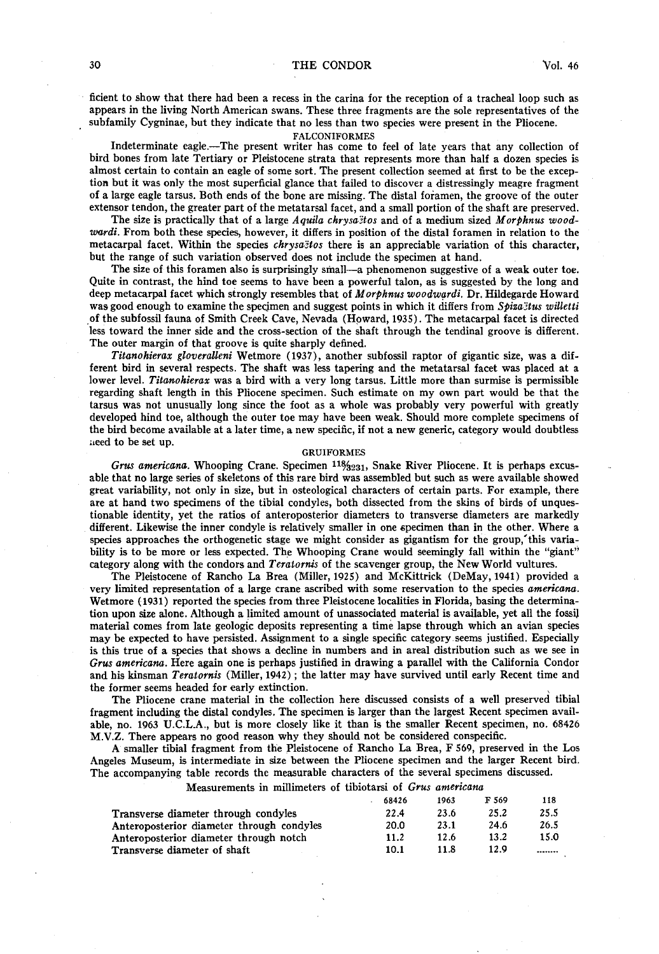**ficient to show that there had been a recess in the carina for the reception of a tracheal loop such as appears in the living North American swans. These three fragments are the sole representatives of the subfamily Cygninae, but they indicate that no less than two species were present in the Pliocene.** 

#### **FALCONIFORMES**

**Indeterminate eagle.-The present writer has come to feel of late years that any collection of**  bird bones from late Tertiary or Pleistocene strata that represents more than half a dozen species is **almost certain to contain an eagle of some sort. The present collection seemed at first to be the exception but it was only the most superficial glance that failed to discover a distressingly meagre fragment of a large eagle tarsus. Both ends of the bone are missing. The distal foiamen, the groove of the outer extensor tendon, the greater part of the metatarsal facet, and a small portion of the shaft are preserved.** 

The size is practically that of a large *Aquila chrysa<sup>3tos</sup>* and of a medium sized *Morthnus wood***wardi. From both these species, however, it differs in position of the distal foramen in relation to the**  metacarpal facet. Within the species *chrysa<sup>3</sup>tos* there is an appreciable variation of this character, **but the range of such variation observed does not include the specimen at hand.** 

The size of this foramen also is surprisingly small—a phenomenon suggestive of a weak outer toe. **Quite in contrast, the hind toe seems to have been a powerful talon, as is suggested by the long and**  deep metacarpal facet which strongly resembles that of Morphnus woodwardi. Dr. Hildegarde Howard was good enough to examine the specimen and suggest points in which it differs from Spizajtus willetti of the subfossil fauna of Smith Creek Cave, Nevada (Howard, 1935). The metacarpal facet is directed **less toward the inner side and the cross-section of the shaft through the tendinal groove is different. The outer margin of that groove is quite sharply defined.** 

**Titanohierax gloveralleni Wetmore (1937), another subfossil raptor of gigantic size, was a different bird in several respects. The shaft was less tapering and the metatarsal facet was placed at a**  lower level. Titanohierax was a bird with a very long tarsus. Little more than surmise is permissible **regarding shaft length in this Pliocene specimen. Such estimate on my own part would be that the tarsus was not unusually long since the foot as a whole was probably very powerful with greatly developed hind toe, although the outer toe may have been weak. Should more complete specimens of the bird become available at a later time, a new specific, if not a new generic, category would doubtless ;leed to be set up.** 

#### **GRUIFORMES**

Grus americana. Whooping Crane. Specimen <sup>118</sup>3231, Snake River Pliocene. It is perhaps excus**able that no large series of skeletons of this rare bird was assembled but such as were available showed great variability, not only in size, but in osteological characters of certain parts. For example, there are at hand two specimens of the tibia1 condyles, both dissected from the skins of birds of unquestionable identity, yet the ratios of anteroposterior diameters to transverse diameters are markedly different. Likewise the inner condyle is relatively smaller in one specimen than in the other. Where a species approaches the orthogenetic stage we might consider as gigantism for the group,'this variability is to be more or less expected. The Whooping Crane would seemingly fall within the "giant" category along with the condors and Teratornis of the scavenger group, the New World vultures.** 

**The Pleistocene of Ranch0 La Brea (Miller, 1925) and McKittrick (DeMay, 1941) provided a very limited representation of a large crane ascribed with some reservation to the species americana.**  Wetmore (1931) reported the species from three Pleistocene localities in Florida, basing the determina**tion upon size alone. Although a limited amount of unassociated material is available, yet all the fossil**  material comes from late geologic deposits representing a time lapse through which an avian species **may be expected to have persisted. Assignment to a single specific category seems justified. Especially**  is this true of a species that shows a decline in numbers and in areal distribution such as we see in **Grus americana. Here again one is perhaps justified in drawing a parallel with the California Condor and his kinsman Teratovnis (Miller, 1942) ; the latter may have survived until early Recent time and the former seems headed for early extinction.** 

**The Pliocene crane material in the collection here discussed consists of a well preserved' tibia1 fragment including the distal condyles. The specimen is larger than the largest Recent specimen available, no. 1963 U.C.L.A., but is more closely like it than is the smaller Recent specimen, no. 68426 M.V.Z. There appears no good reason why they should not be considered conspecitic.** 

**A smaller tibia1 fragment from the Pleistocene of Ranch0 La Brea, F 569, preserved in the Los Angeles Museum, is intermediate in size between the Pliocene specimen and the larger Recent bird. The accompanying table records the measurable characters of the several specimens discussed.** 

**Measurements in millimeters of tibiotarsi of Grus americana** 

|                                           | 68426 | 1963 | F 569 | 118  |
|-------------------------------------------|-------|------|-------|------|
| Transverse diameter through condyles      | 22.4  | 23.6 | 25.2  | 25.5 |
| Anteroposterior diameter through condyles | 20.0  | 23.1 | 24.6  | 26.5 |
| Anteroposterior diameter through notch    | 11.2  | 12.6 | 13.2  | 15.0 |
| Transverse diameter of shaft              | 10.1  | 11.8 | 12.9  |      |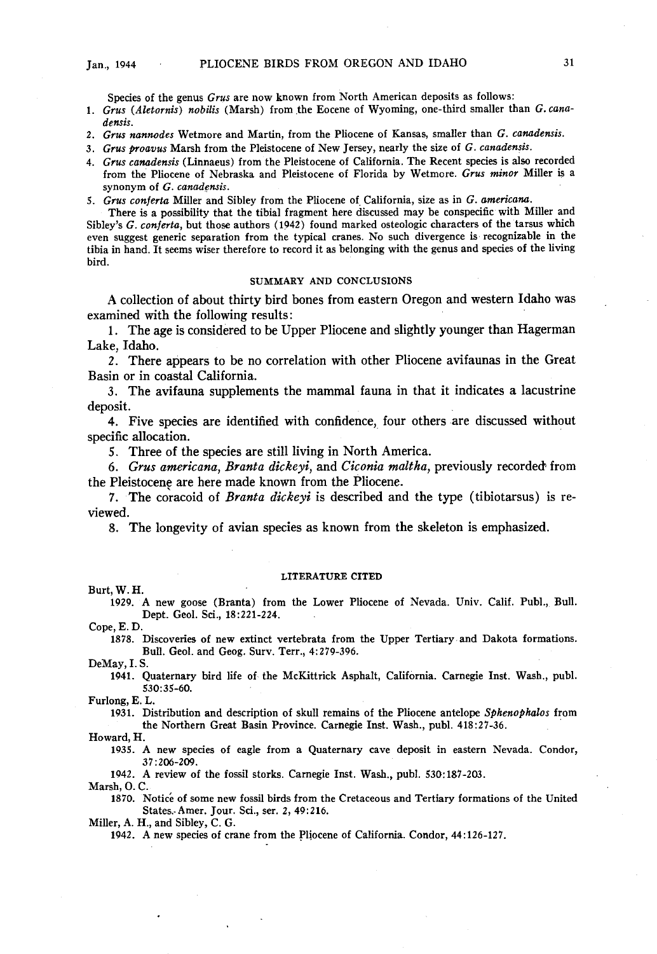Species of the genus Grus are now known from North American deposits as follows:

- 1. Grus (Aletornis) nobilis (Marsh) from the Eocene of Wyoming, one-third smaller than G. cana**densis.**
- **2. Grus nannodes Wetmore and Martin, from the Pliocene of Kansas, smaller than G. camdensis.**
- **3. Grus proavus Marsh from the Pleistocene of New Jersey, nearly the size of G. canadensti.**
- **4. Gnus canudensis (Linnaeus) from the Pleistocene of California. The Recent species is also recorded**  from the Pliocene of Nebraska and Pleistocene of Florida by Wetmore. Grus minor Miller is a synonym of G. canadensis.

5. Grus conferta Miller and Sibley from the Pliocene of California, size as in G. americana.

**There is a possibility that the tibia1 fragment here discussed may be conspecific with Miller and Sibley's G. confer& but those authors (1942) found marked osteologic characters of the tarsus which even suggest generic separation from the typical cranes. No such divergence is recognizable in the tibia in hand. It seems wiser therefore to record it as belonging with the genus and species of the living bird.** 

#### **SUMMARY AND CONCLUSIONS**

**A collection of about thirty bird bones from eastern Oregon and western Idaho was examined with the following results:** 

**1. The age is considered to be Upper Pliocene and slightly younger than Hagerman Lake, Idaho.** 

**2. There appears to be no correlation with other Pliocene avifaunas in the Great Basin or in coastal California.** 

**3. The avifauna supplements the mammal fauna in that it indicates a lacustrine deposit.** 

**4. Five species are identified with confidence,, four others are discussed without specific allocation.** 

**5. Three of the species are still living in North America.** 

6. Grus americana, Branta dickeyi, and Ciconia maltha, previously recorded from **the Pleistocene are here made known from the Pliocene.** 

**7. The coracoid of Branta dickeyi is described and the type (tibiotarsus) is reviewed.** 

**8. The longevity of avian species as known from the skeleton is emphasized.** 

### **Burt, W. H.**

## **LITERATURE CITED**

**1929. A new goose (Branta) from the Lower Pliocene of Nevada. Univ. Calif. Pub]., Bull. Dept. Geol. Sci., 18:221-224.** 

**Cope, E. D.** 

**1878. Discoveries of new extinct vertebrata from the Upper Tertiary and Dakota formations. Bull. Geol. and Geog. Surv. Terr., 4:279-396.** 

**DeMay, I. S.** 

**1941. Quaternary bird life of the McKittrick Asphalt, California. Carnegie Inst. Wash., publ. 530:35-60.** 

**Furlong, E. L.** 

1931. Distribution and description of skull remains of the Pliocene antelope Sphenophalos from **the Northern Great Basin Province. Carnegie Inst. Wash., publ. 418:27-36.** 

**Howard, H.** 

**1935. A new species of eagle from a Quaternary cave deposit in eastern Nevada. Condor, 37 : 206-209.** 

**1942. A review of the fossil storks. Carnegie Inst. Wash., publ. 530:187-203.** 

**Marsh, 0. C.** 

**1870. Notice of some new fossil birds from the Cretaceous and Tertiary formations of the United States.-Amer. Jour. Sci., ser. 2, 49:216.** 

**Miller, A. H., and Sibley, C. G.** 

**1942. A new species of crane from the Pliocene of California. Condor, 44:126-127.**